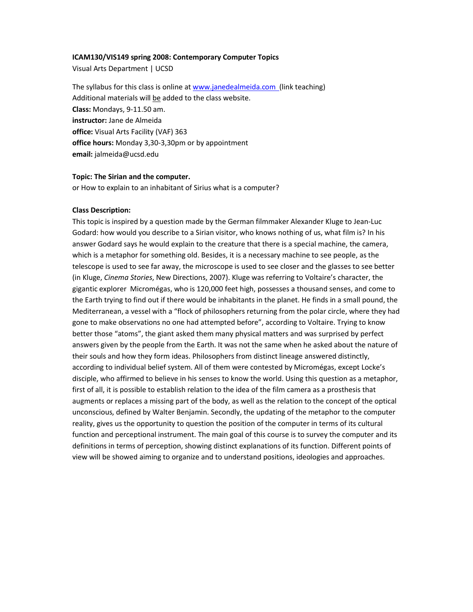## **ICAM130/VIS149 spring 2008: Contemporary Computer Topics**

Visual Arts Department | UCSD

The syllabus for this class is online at www.janedealmeida.com (link teaching) Additional materials will be added to the class website. **Class:** Mondays, 9-11.50 am. **instructor:** Jane de Almeida **office:** Visual Arts Facility (VAF) 363 **office hours:** Monday 3,30-3,30pm or by appointment **email:** jalmeida@ucsd.edu

## **Topic: The Sirian and the computer.**

or How to explain to an inhabitant of Sirius what is a computer?

## **Class Description:**

This topic is inspired by a question made by the German filmmaker Alexander Kluge to Jean-Luc Godard: how would you describe to a Sirian visitor, who knows nothing of us, what film is? In his answer Godard says he would explain to the creature that there is a special machine, the camera, which is a metaphor for something old. Besides, it is a necessary machine to see people, as the telescope is used to see far away, the microscope is used to see closer and the glasses to see better (in Kluge, *Cinema Stories*, New Directions, 2007). Kluge was referring to Voltaire's character, the gigantic explorer Micromégas, who is 120,000 feet high, possesses a thousand senses, and come to the Earth trying to find out if there would be inhabitants in the planet. He finds in a small pound, the Mediterranean, a vessel with a "flock of philosophers returning from the polar circle, where they had gone to make observations no one had attempted before", according to Voltaire. Trying to know better those "atoms", the giant asked them many physical matters and was surprised by perfect answers given by the people from the Earth. It was not the same when he asked about the nature of their souls and how they form ideas. Philosophers from distinct lineage answered distinctly, according to individual belief system. All of them were contested by Micromégas, except Locke's disciple, who affirmed to believe in his senses to know the world. Using this question as a metaphor, first of all, it is possible to establish relation to the idea of the film camera as a prosthesis that augments or replaces a missing part of the body, as well as the relation to the concept of the optical unconscious, defined by Walter Benjamin. Secondly, the updating of the metaphor to the computer reality, gives us the opportunity to question the position of the computer in terms of its cultural function and perceptional instrument. The main goal of this course is to survey the computer and its definitions in terms of perception, showing distinct explanations of its function. Different points of view will be showed aiming to organize and to understand positions, ideologies and approaches.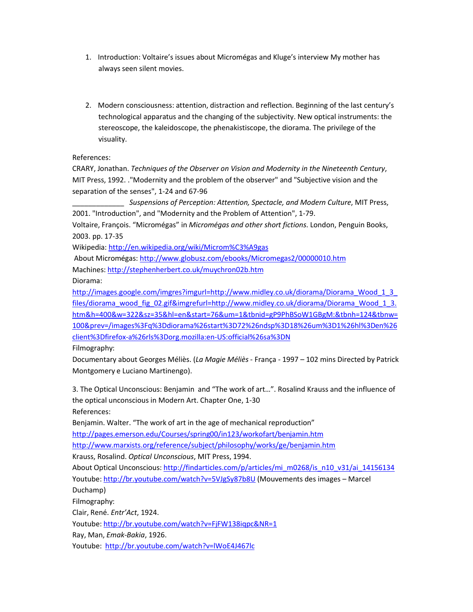- 1. Introduction: Voltaire's issues about Micromégas and Kluge's interview My mother has always seen silent movies.
- 2. Modern consciousness: attention, distraction and reflection. Beginning of the last century's technological apparatus and the changing of the subjectivity. New optical instruments: the stereoscope, the kaleidoscope, the phenakistiscope, the diorama. The privilege of the visuality.

References:

CRARY, Jonathan. *Techniques of the Observer on Vision and Modernity in the Nineteenth Century*, MIT Press, 1992. ."Modernity and the problem of the observer" and "Subjective vision and the separation of the senses", 1-24 and 67-96

\_\_\_\_\_\_\_\_\_\_\_\_\_ *Suspensions of Perception: Attention, Spectacle, and Modern Culture*, MIT Press, 2001. "Introduction", and "Modernity and the Problem of Attention", 1-79.

Voltaire, François. "Micromégas" in *Micromégas and other short fictions*. London, Penguin Books, 2003. pp. 17-35

Wikipedia: http://en.wikipedia.org/wiki/Microm%C3%A9gas

About Micromégas: http://www.globusz.com/ebooks/Micromegas2/00000010.htm

Machines: http://stephenherbert.co.uk/muychron02b.htm

Diorama:

http://images.google.com/imgres?imgurl=http://www.midley.co.uk/diorama/Diorama\_Wood\_1\_3\_ files/diorama\_wood\_fig\_02.gif&imgrefurl=http://www.midley.co.uk/diorama/Diorama\_Wood\_1\_3. htm&h=400&w=322&sz=35&hl=en&start=76&um=1&tbnid=gP9PhBSoW1GBgM:&tbnh=124&tbnw= 100&prev=/images%3Fq%3Ddiorama%26start%3D72%26ndsp%3D18%26um%3D1%26hl%3Den%26 client%3Dfirefox-a%26rls%3Dorg.mozilla:en-US:official%26sa%3DN

Filmography:

Documentary about Georges Méliès. (*La Magie Méliès* - França - 1997 – 102 mins Directed by Patrick Montgomery e Luciano Martinengo).

3. The Optical Unconscious: Benjamin and "The work of art…". Rosalind Krauss and the influence of the optical unconscious in Modern Art. Chapter One, 1-30

References:

Benjamin. Walter. "The work of art in the age of mechanical reproduction"

http://pages.emerson.edu/Courses/spring00/in123/workofart/benjamin.htm

http://www.marxists.org/reference/subject/philosophy/works/ge/benjamin.htm

Krauss, Rosalind. *Optical Unconscious*, MIT Press, 1994.

About Optical Unconscious: http://findarticles.com/p/articles/mi\_m0268/is\_n10\_v31/ai\_14156134 Youtube: http://br.youtube.com/watch?v=5VJgSy87b8U (Mouvements des images – Marcel

Duchamp)

Filmography:

Clair, René. *Entr'Act*, 1924.

Youtube: http://br.youtube.com/watch?v=FjFW138iqpc&NR=1

Ray, Man, *Emak-Bakia*, 1926.

Youtube: http://br.youtube.com/watch?v=lWoE4J467lc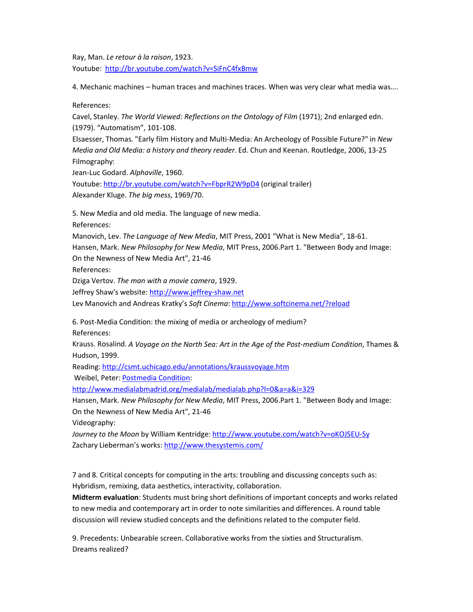Ray, Man. *Le retour à la raison*, 1923. Youtube: http://br.youtube.com/watch?v=SiFnC4fxBmw

4. Mechanic machines – human traces and machines traces. When was very clear what media was….

References:

Cavel, Stanley. *The World Viewed: Reflections on the Ontology of Film* (1971); 2nd enlarged edn. (1979). "Automatism", 101-108. Elsaesser, Thomas. "Early film History and Multi-Media: An Archeology of Possible Future?" in *New* 

*Media and Old Media: a history and theory reader*. Ed. Chun and Keenan. Routledge, 2006, 13-25 Filmography:

Jean-Luc Godard. *Alphaville*, 1960.

Youtube: http://br.youtube.com/watch?v=FbprR2W9pD4 (original trailer) Alexander Kluge. *The big mess*, 1969/70.

5. New Media and old media. The language of new media.

References:

Manovich, Lev. *The Language of New Media*, MIT Press, 2001 "What is New Media", 18-61. Hansen, Mark. *New Philosophy for New Media*, MIT Press, 2006.Part 1. "Between Body and Image: On the Newness of New Media Art", 21-46

References:

Dziga Vertov. *The man with a movie camera*, 1929.

Jeffrey Shaw's website: http://www.jeffrey-shaw.net

Lev Manovich and Andreas Kratky's *Soft Cinema*: http://www.softcinema.net/?reload

6. Post-Media Condition: the mixing of media or archeology of medium? References:

Krauss. Rosalind. *A Voyage on the North Sea: Art in the Age of the Post-medium Condition*, Thames & Hudson, 1999.

Reading: http://csmt.uchicago.edu/annotations/kraussvoyage.htm Weibel, Peter: Postmedia Condition:

http://www.medialabmadrid.org/medialab/medialab.php?l=0&a=a&i=329

Hansen, Mark. *New Philosophy for New Media*, MIT Press, 2006.Part 1. "Between Body and Image:

On the Newness of New Media Art", 21-46

Videography:

*Journey to the Moon* by William Kentridge: http://www.youtube.com/watch?v=oKOJSEU-Sy Zachary Lieberman's works: http://www.thesystemis.com/

7 and 8. Critical concepts for computing in the arts: troubling and discussing concepts such as: Hybridism, remixing, data aesthetics, interactivity, collaboration.

**Midterm evaluation**: Students must bring short definitions of important concepts and works related to new media and contemporary art in order to note similarities and differences. A round table discussion will review studied concepts and the definitions related to the computer field.

9. Precedents: Unbearable screen. Collaborative works from the sixties and Structuralism. Dreams realized?